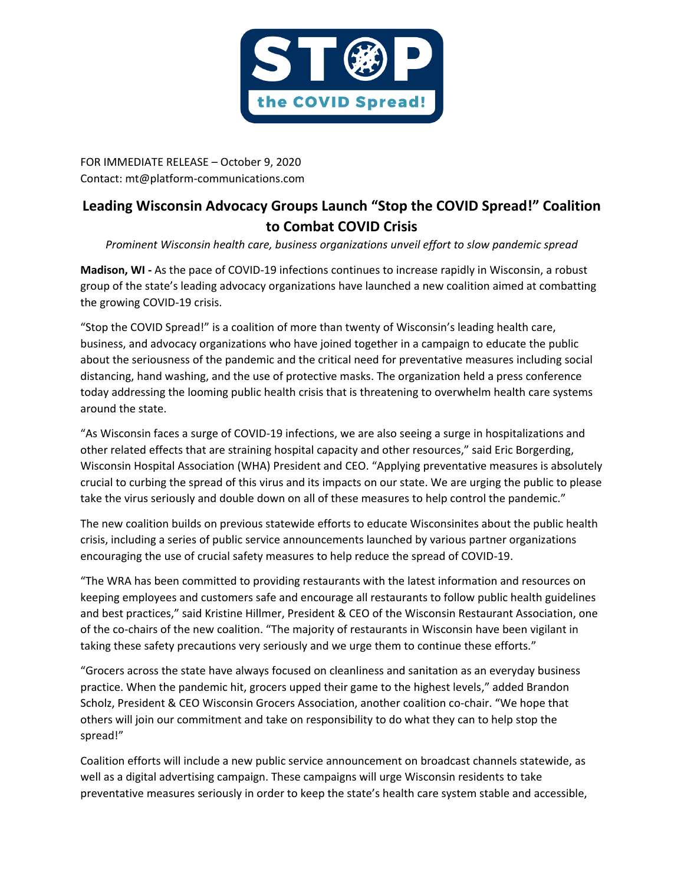

FOR IMMEDIATE RELEASE – October 9, 2020 Contact: mt@platform-communications.com

## **Leading Wisconsin Advocacy Groups Launch "Stop the COVID Spread!" Coalition to Combat COVID Crisis**

*Prominent Wisconsin health care, business organizations unveil effort to slow pandemic spread*

**Madison, WI -** As the pace of COVID-19 infections continues to increase rapidly in Wisconsin, a robust group of the state's leading advocacy organizations have launched a new coalition aimed at combatting the growing COVID-19 crisis.

"Stop the COVID Spread!" is a coalition of more than twenty of Wisconsin's leading health care, business, and advocacy organizations who have joined together in a campaign to educate the public about the seriousness of the pandemic and the critical need for preventative measures including social distancing, hand washing, and the use of protective masks. The organization held a press conference today addressing the looming public health crisis that is threatening to overwhelm health care systems around the state.

"As Wisconsin faces a surge of COVID-19 infections, we are also seeing a surge in hospitalizations and other related effects that are straining hospital capacity and other resources," said Eric Borgerding, Wisconsin Hospital Association (WHA) President and CEO. "Applying preventative measures is absolutely crucial to curbing the spread of this virus and its impacts on our state. We are urging the public to please take the virus seriously and double down on all of these measures to help control the pandemic."

The new coalition builds on previous statewide efforts to educate Wisconsinites about the public health crisis, including a series of public service announcements launched by various partner organizations encouraging the use of crucial safety measures to help reduce the spread of COVID-19.

"The WRA has been committed to providing restaurants with the latest information and resources on keeping employees and customers safe and encourage all restaurants to follow public health guidelines and best practices," said Kristine Hillmer, President & CEO of the Wisconsin Restaurant Association, one of the co-chairs of the new coalition. "The majority of restaurants in Wisconsin have been vigilant in taking these safety precautions very seriously and we urge them to continue these efforts."

"Grocers across the state have always focused on cleanliness and sanitation as an everyday business practice. When the pandemic hit, grocers upped their game to the highest levels," added Brandon Scholz, President & CEO Wisconsin Grocers Association, another coalition co-chair. "We hope that others will join our commitment and take on responsibility to do what they can to help stop the spread!"

Coalition efforts will include a new public service announcement on broadcast channels statewide, as well as a digital advertising campaign. These campaigns will urge Wisconsin residents to take preventative measures seriously in order to keep the state's health care system stable and accessible,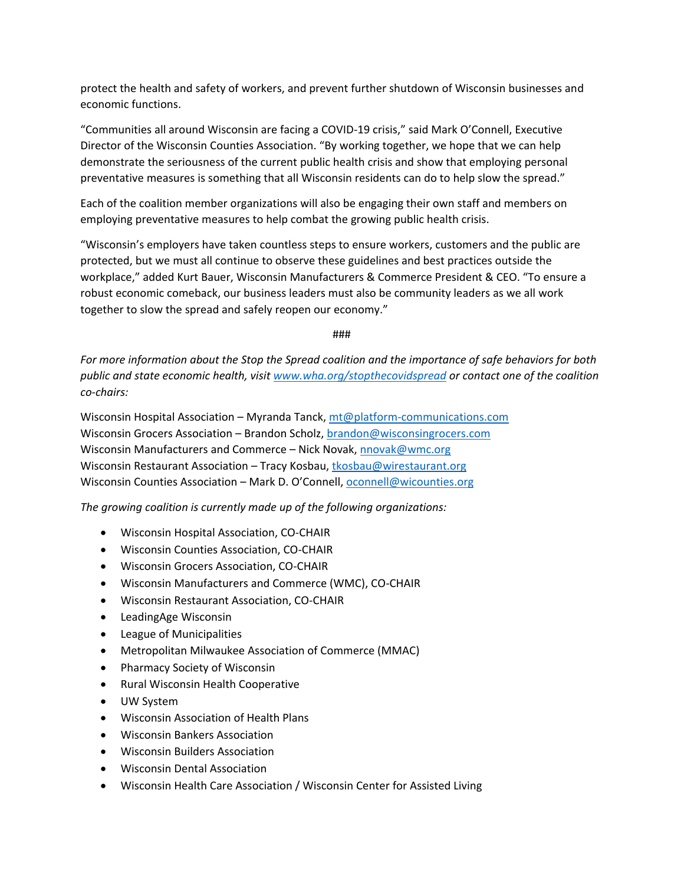protect the health and safety of workers, and prevent further shutdown of Wisconsin businesses and economic functions.

"Communities all around Wisconsin are facing a COVID-19 crisis," said Mark O'Connell, Executive Director of the Wisconsin Counties Association. "By working together, we hope that we can help demonstrate the seriousness of the current public health crisis and show that employing personal preventative measures is something that all Wisconsin residents can do to help slow the spread."

Each of the coalition member organizations will also be engaging their own staff and members on employing preventative measures to help combat the growing public health crisis.

"Wisconsin's employers have taken countless steps to ensure workers, customers and the public are protected, but we must all continue to observe these guidelines and best practices outside the workplace," added Kurt Bauer, Wisconsin Manufacturers & Commerce President & CEO. "To ensure a robust economic comeback, our business leaders must also be community leaders as we all work together to slow the spread and safely reopen our economy."

###

*For more information about the Stop the Spread coalition and the importance of safe behaviors for both public and state economic health, visi[t www.wha.org/stopthecovidspread](http://www.wha.org/stopthecovidspread) or contact one of the coalition co-chairs:*

Wisconsin Hospital Association – Myranda Tanck[, mt@platform-communications.com](mailto:mt@platform-communications.com) Wisconsin Grocers Association – Brandon Scholz, [brandon@wisconsingrocers.com](mailto:brandon@wisconsingrocers.com) Wisconsin Manufacturers and Commerce – Nick Novak, [nnovak@wmc.org](mailto:nnovak@wmc.org) Wisconsin Restaurant Association – Tracy Kosbau, [tkosbau@wirestaurant.org](mailto:tkosbau@wirestaurant.org) Wisconsin Counties Association – Mark D. O'Connell, [oconnell@wicounties.org](mailto:oconnell@wicounties.org)

*The growing coalition is currently made up of the following organizations:*

- Wisconsin Hospital Association, CO-CHAIR
- Wisconsin Counties Association, CO-CHAIR
- Wisconsin Grocers Association, CO-CHAIR
- Wisconsin Manufacturers and Commerce (WMC), CO-CHAIR
- Wisconsin Restaurant Association, CO-CHAIR
- LeadingAge Wisconsin
- League of Municipalities
- Metropolitan Milwaukee Association of Commerce (MMAC)
- Pharmacy Society of Wisconsin
- Rural Wisconsin Health Cooperative
- UW System
- Wisconsin Association of Health Plans
- Wisconsin Bankers Association
- Wisconsin Builders Association
- Wisconsin Dental Association
- Wisconsin Health Care Association / Wisconsin Center for Assisted Living